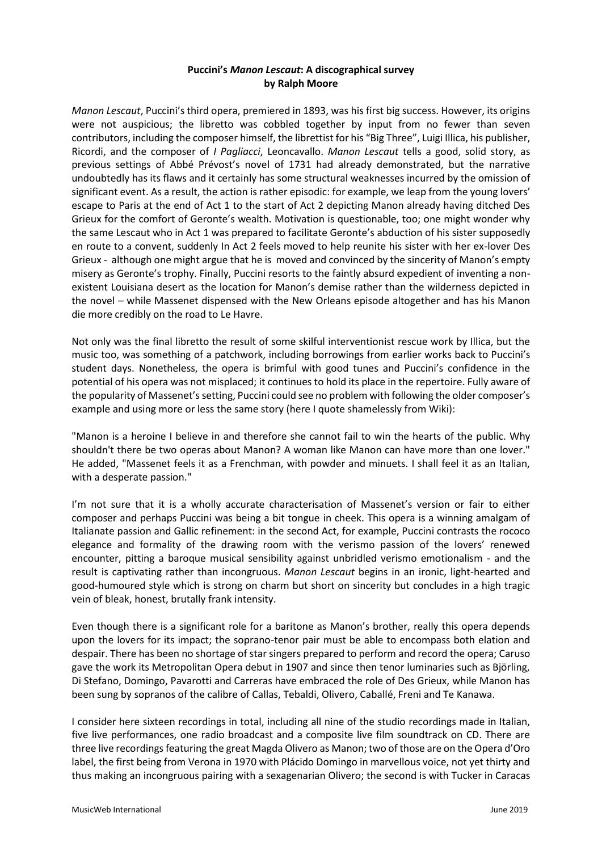## **Puccini's** *Manon Lescaut***: A discographical survey by Ralph Moore**

*Manon Lescaut*, Puccini's third opera, premiered in 1893, was his first big success. However, its origins were not auspicious; the libretto was cobbled together by input from no fewer than seven contributors, including the composer himself, the librettist for his "Big Three", Luigi Illica, his publisher, Ricordi, and the composer of *I Pagliacci*, Leoncavallo. *Manon Lescaut* tells a good, solid story, as previous settings of Abbé Prévost's novel of 1731 had already demonstrated, but the narrative undoubtedly has its flaws and it certainly has some structural weaknesses incurred by the omission of significant event. As a result, the action is rather episodic: for example, we leap from the young lovers' escape to Paris at the end of Act 1 to the start of Act 2 depicting Manon already having ditched Des Grieux for the comfort of Geronte's wealth. Motivation is questionable, too; one might wonder why the same Lescaut who in Act 1 was prepared to facilitate Geronte's abduction of his sister supposedly en route to a convent, suddenly In Act 2 feels moved to help reunite his sister with her ex-lover Des Grieux - although one might argue that he is moved and convinced by the sincerity of Manon's empty misery as Geronte's trophy. Finally, Puccini resorts to the faintly absurd expedient of inventing a nonexistent Louisiana desert as the location for Manon's demise rather than the wilderness depicted in the novel – while Massenet dispensed with the New Orleans episode altogether and has his Manon die more credibly on the road to Le Havre.

Not only was the final libretto the result of some skilful interventionist rescue work by Illica, but the music too, was something of a patchwork, including borrowings from earlier works back to Puccini's student days. Nonetheless, the opera is brimful with good tunes and Puccini's confidence in the potential of his opera was not misplaced; it continues to hold its place in the repertoire. Fully aware of the popularity of Massenet's setting, Puccini could see no problem with following the older composer's example and using more or less the same story (here I quote shamelessly from Wiki):

"Manon is a heroine I believe in and therefore she cannot fail to win the hearts of the public. Why shouldn't there be two operas about Manon? A woman like Manon can have more than one lover." He added, "Massenet feels it as a Frenchman, with powder and minuets. I shall feel it as an Italian, with a desperate passion."

I'm not sure that it is a wholly accurate characterisation of Massenet's version or fair to either composer and perhaps Puccini was being a bit tongue in cheek. This opera is a winning amalgam of Italianate passion and Gallic refinement: in the second Act, for example, Puccini contrasts the rococo elegance and formality of the drawing room with the verismo passion of the lovers' renewed encounter, pitting a baroque musical sensibility against unbridled verismo emotionalism - and the result is captivating rather than incongruous. *Manon Lescaut* begins in an ironic, light-hearted and good-humoured style which is strong on charm but short on sincerity but concludes in a high tragic vein of bleak, honest, brutally frank intensity.

Even though there is a significant role for a baritone as Manon's brother, really this opera depends upon the lovers for its impact; the soprano-tenor pair must be able to encompass both elation and despair. There has been no shortage of star singers prepared to perform and record the opera; Caruso gave the work its Metropolitan Opera debut in 1907 and since then tenor luminaries such as Björling, Di Stefano, Domingo, Pavarotti and Carreras have embraced the role of Des Grieux, while Manon has been sung by sopranos of the calibre of Callas, Tebaldi, Olivero, Caballé, Freni and Te Kanawa.

I consider here sixteen recordings in total, including all nine of the studio recordings made in Italian, five live performances, one radio broadcast and a composite live film soundtrack on CD. There are three live recordings featuring the great Magda Olivero as Manon; two of those are on the Opera d'Oro label, the first being from Verona in 1970 with Plácido Domingo in marvellous voice, not yet thirty and thus making an incongruous pairing with a sexagenarian Olivero; the second is with Tucker in Caracas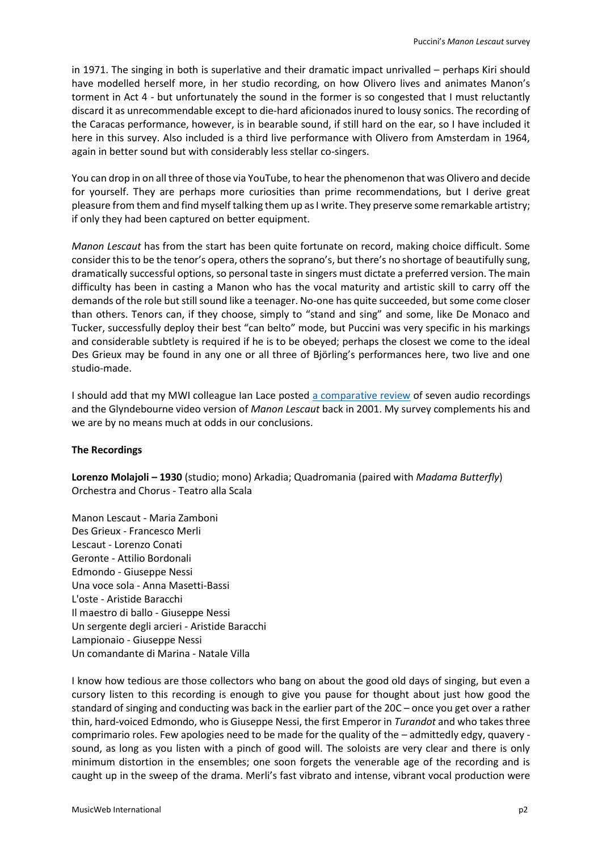in 1971. The singing in both is superlative and their dramatic impact unrivalled – perhaps Kiri should have modelled herself more, in her studio recording, on how Olivero lives and animates Manon's torment in Act 4 - but unfortunately the sound in the former is so congested that I must reluctantly discard it as unrecommendable except to die-hard aficionados inured to lousy sonics. The recording of the Caracas performance, however, is in bearable sound, if still hard on the ear, so I have included it here in this survey. Also included is a third live performance with Olivero from Amsterdam in 1964, again in better sound but with considerably less stellar co-singers.

You can drop in on all three of those via YouTube, to hear the phenomenon that was Olivero and decide for yourself. They are perhaps more curiosities than prime recommendations, but I derive great pleasure from them and find myself talking them up as I write. They preserve some remarkable artistry; if only they had been captured on better equipment.

*Manon Lescaut* has from the start has been quite fortunate on record, making choice difficult. Some consider this to be the tenor's opera, others the soprano's, but there's no shortage of beautifully sung, dramatically successful options, so personal taste in singers must dictate a preferred version. The main difficulty has been in casting a Manon who has the vocal maturity and artistic skill to carry off the demands of the role but still sound like a teenager. No-one has quite succeeded, but some come closer than others. Tenors can, if they choose, simply to "stand and sing" and some, like De Monaco and Tucker, successfully deploy their best "can belto" mode, but Puccini was very specific in his markings and considerable subtlety is required if he is to be obeyed; perhaps the closest we come to the ideal Des Grieux may be found in any one or all three of Björling's performances here, two live and one studio-made.

I should add that my MWI colleague Ian Lace posted [a comparative review](http://www.musicweb-international.com/classrev/2001/Jan01/Manon_Lescaut.htm) of seven audio recordings and the Glyndebourne video version of *Manon Lescaut* back in 2001. My survey complements his and we are by no means much at odds in our conclusions.

## **The Recordings**

**Lorenzo Molajoli – 1930** (studio; mono) Arkadia; Quadromania (paired with *Madama Butterfly*) Orchestra and Chorus - Teatro alla Scala

Manon Lescaut - Maria Zamboni Des Grieux - Francesco Merli Lescaut - Lorenzo Conati Geronte - Attilio Bordonali Edmondo - Giuseppe Nessi Una voce sola - Anna Masetti-Bassi L'oste - Aristide Baracchi Il maestro di ballo - Giuseppe Nessi Un sergente degli arcieri - Aristide Baracchi Lampionaio - Giuseppe Nessi Un comandante di Marina - Natale Villa

I know how tedious are those collectors who bang on about the good old days of singing, but even a cursory listen to this recording is enough to give you pause for thought about just how good the standard of singing and conducting was back in the earlier part of the 20C – once you get over a rather thin, hard-voiced Edmondo, who is Giuseppe Nessi, the first Emperor in *Turandot* and who takes three comprimario roles. Few apologies need to be made for the quality of the – admittedly edgy, quavery sound, as long as you listen with a pinch of good will. The soloists are very clear and there is only minimum distortion in the ensembles; one soon forgets the venerable age of the recording and is caught up in the sweep of the drama. Merli's fast vibrato and intense, vibrant vocal production were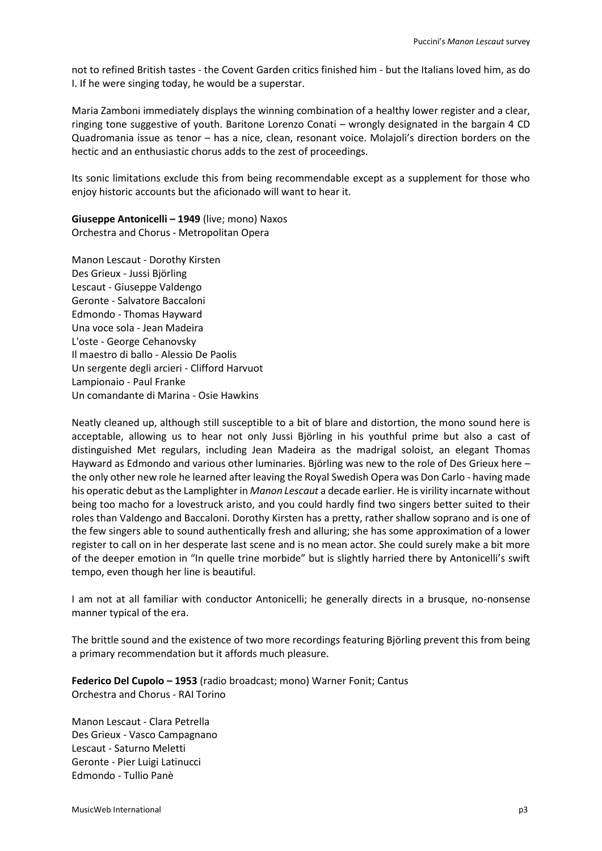not to refined British tastes - the Covent Garden critics finished him - but the Italians loved him, as do I. If he were singing today, he would be a superstar.

Maria Zamboni immediately displays the winning combination of a healthy lower register and a clear, ringing tone suggestive of youth. Baritone Lorenzo Conati – wrongly designated in the bargain 4 CD Quadromania issue as tenor – has a nice, clean, resonant voice. Molajoli's direction borders on the hectic and an enthusiastic chorus adds to the zest of proceedings.

Its sonic limitations exclude this from being recommendable except as a supplement for those who enjoy historic accounts but the aficionado will want to hear it.

**Giuseppe Antonicelli – 1949** (live; mono) Naxos Orchestra and Chorus - Metropolitan Opera

Manon Lescaut - Dorothy Kirsten Des Grieux - Jussi Björling Lescaut - Giuseppe Valdengo Geronte - Salvatore Baccaloni Edmondo - Thomas Hayward Una voce sola - Jean Madeira L'oste - George Cehanovsky Il maestro di ballo - Alessio De Paolis Un sergente degli arcieri - Clifford Harvuot Lampionaio - Paul Franke Un comandante di Marina - Osie Hawkins

Neatly cleaned up, although still susceptible to a bit of blare and distortion, the mono sound here is acceptable, allowing us to hear not only Jussi Björling in his youthful prime but also a cast of distinguished Met regulars, including Jean Madeira as the madrigal soloist, an elegant Thomas Hayward as Edmondo and various other luminaries. Björling was new to the role of Des Grieux here – the only other new role he learned after leaving the Royal Swedish Opera was Don Carlo - having made his operatic debut as the Lamplighter in *Manon Lescaut* a decade earlier. He is virility incarnate without being too macho for a lovestruck aristo, and you could hardly find two singers better suited to their roles than Valdengo and Baccaloni. Dorothy Kirsten has a pretty, rather shallow soprano and is one of the few singers able to sound authentically fresh and alluring; she has some approximation of a lower register to call on in her desperate last scene and is no mean actor. She could surely make a bit more of the deeper emotion in "In quelle trine morbide" but is slightly harried there by Antonicelli's swift tempo, even though her line is beautiful.

I am not at all familiar with conductor Antonicelli; he generally directs in a brusque, no-nonsense manner typical of the era.

The brittle sound and the existence of two more recordings featuring Björling prevent this from being a primary recommendation but it affords much pleasure.

**Federico Del Cupolo – 1953** (radio broadcast; mono) Warner Fonit; Cantus Orchestra and Chorus - RAI Torino

Manon Lescaut - Clara Petrella Des Grieux - Vasco Campagnano Lescaut - Saturno Meletti Geronte - Pier Luigi Latinucci Edmondo - Tullio Panè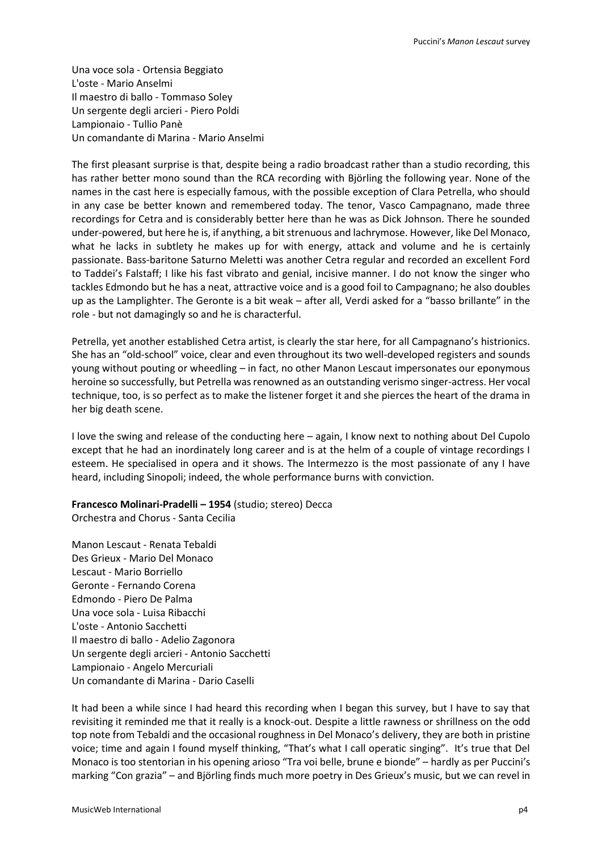Una voce sola - Ortensia Beggiato L'oste - Mario Anselmi Il maestro di ballo - Tommaso Soley Un sergente degli arcieri - Piero Poldi Lampionaio - Tullio Panè Un comandante di Marina - Mario Anselmi

The first pleasant surprise is that, despite being a radio broadcast rather than a studio recording, this has rather better mono sound than the RCA recording with Björling the following year. None of the names in the cast here is especially famous, with the possible exception of Clara Petrella, who should in any case be better known and remembered today. The tenor, Vasco Campagnano, made three recordings for Cetra and is considerably better here than he was as Dick Johnson. There he sounded under-powered, but here he is, if anything, a bit strenuous and lachrymose. However, like Del Monaco, what he lacks in subtlety he makes up for with energy, attack and volume and he is certainly passionate. Bass-baritone Saturno Meletti was another Cetra regular and recorded an excellent Ford to Taddei's Falstaff; I like his fast vibrato and genial, incisive manner. I do not know the singer who tackles Edmondo but he has a neat, attractive voice and is a good foil to Campagnano; he also doubles up as the Lamplighter. The Geronte is a bit weak – after all, Verdi asked for a "basso brillante" in the role - but not damagingly so and he is characterful.

Petrella, yet another established Cetra artist, is clearly the star here, for all Campagnano's histrionics. She has an "old-school" voice, clear and even throughout its two well-developed registers and sounds young without pouting or wheedling – in fact, no other Manon Lescaut impersonates our eponymous heroine so successfully, but Petrella was renowned as an outstanding verismo singer-actress. Her vocal technique, too, is so perfect as to make the listener forget it and she pierces the heart of the drama in her big death scene.

I love the swing and release of the conducting here – again, I know next to nothing about Del Cupolo except that he had an inordinately long career and is at the helm of a couple of vintage recordings I esteem. He specialised in opera and it shows. The Intermezzo is the most passionate of any I have heard, including Sinopoli; indeed, the whole performance burns with conviction.

## **Francesco Molinari-Pradelli – 1954** (studio; stereo) Decca

Orchestra and Chorus - Santa Cecilia

Manon Lescaut - Renata Tebaldi Des Grieux - Mario Del Monaco Lescaut - Mario Borriello Geronte - Fernando Corena Edmondo - Piero De Palma Una voce sola - Luisa Ribacchi L'oste - Antonio Sacchetti Il maestro di ballo - Adelio Zagonora Un sergente degli arcieri - Antonio Sacchetti Lampionaio - Angelo Mercuriali Un comandante di Marina - Dario Caselli

It had been a while since I had heard this recording when I began this survey, but I have to say that revisiting it reminded me that it really is a knock-out. Despite a little rawness or shrillness on the odd top note from Tebaldi and the occasional roughness in Del Monaco's delivery, they are both in pristine voice; time and again I found myself thinking, "That's what I call operatic singing". It's true that Del Monaco is too stentorian in his opening arioso "Tra voi belle, brune e bionde" – hardly as per Puccini's marking "Con grazia" – and Björling finds much more poetry in Des Grieux's music, but we can revel in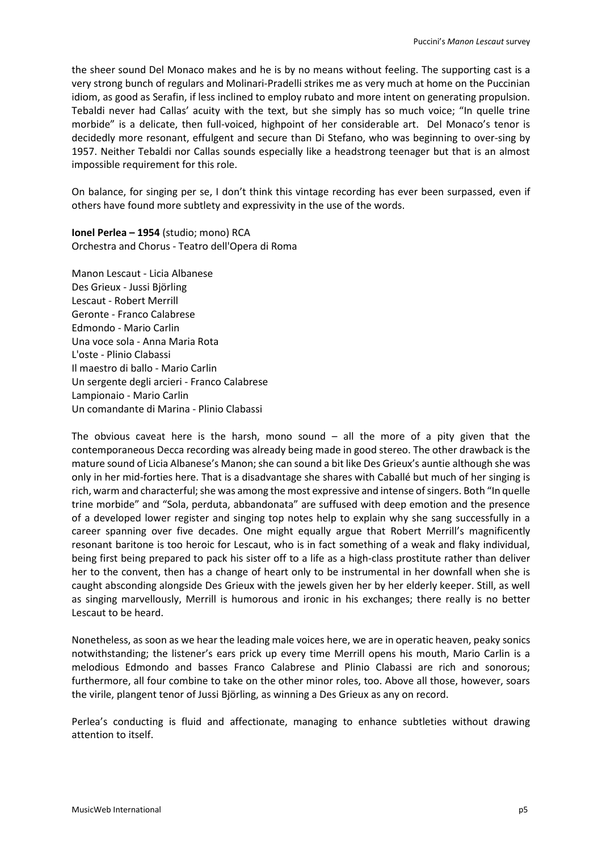the sheer sound Del Monaco makes and he is by no means without feeling. The supporting cast is a very strong bunch of regulars and Molinari-Pradelli strikes me as very much at home on the Puccinian idiom, as good as Serafin, if less inclined to employ rubato and more intent on generating propulsion. Tebaldi never had Callas' acuity with the text, but she simply has so much voice; "In quelle trine morbide" is a delicate, then full-voiced, highpoint of her considerable art. Del Monaco's tenor is decidedly more resonant, effulgent and secure than Di Stefano, who was beginning to over-sing by 1957. Neither Tebaldi nor Callas sounds especially like a headstrong teenager but that is an almost impossible requirement for this role.

On balance, for singing per se, I don't think this vintage recording has ever been surpassed, even if others have found more subtlety and expressivity in the use of the words.

**Ionel Perlea – 1954** (studio; mono) RCA Orchestra and Chorus - Teatro dell'Opera di Roma

Manon Lescaut - Licia Albanese Des Grieux - Jussi Björling Lescaut - Robert Merrill Geronte - Franco Calabrese Edmondo - Mario Carlin Una voce sola - Anna Maria Rota L'oste - Plinio Clabassi Il maestro di ballo - Mario Carlin Un sergente degli arcieri - Franco Calabrese Lampionaio - Mario Carlin Un comandante di Marina - Plinio Clabassi

The obvious caveat here is the harsh, mono sound  $-$  all the more of a pity given that the contemporaneous Decca recording was already being made in good stereo. The other drawback is the mature sound of Licia Albanese's Manon; she can sound a bit like Des Grieux's auntie although she was only in her mid-forties here. That is a disadvantage she shares with Caballé but much of her singing is rich, warm and characterful; she was among the most expressive and intense of singers. Both "In quelle trine morbide" and "Sola, perduta, abbandonata" are suffused with deep emotion and the presence of a developed lower register and singing top notes help to explain why she sang successfully in a career spanning over five decades. One might equally argue that Robert Merrill's magnificently resonant baritone is too heroic for Lescaut, who is in fact something of a weak and flaky individual, being first being prepared to pack his sister off to a life as a high-class prostitute rather than deliver her to the convent, then has a change of heart only to be instrumental in her downfall when she is caught absconding alongside Des Grieux with the jewels given her by her elderly keeper. Still, as well as singing marvellously, Merrill is humorous and ironic in his exchanges; there really is no better Lescaut to be heard.

Nonetheless, as soon as we hear the leading male voices here, we are in operatic heaven, peaky sonics notwithstanding; the listener's ears prick up every time Merrill opens his mouth, Mario Carlin is a melodious Edmondo and basses Franco Calabrese and Plinio Clabassi are rich and sonorous; furthermore, all four combine to take on the other minor roles, too. Above all those, however, soars the virile, plangent tenor of Jussi Björling, as winning a Des Grieux as any on record.

Perlea's conducting is fluid and affectionate, managing to enhance subtleties without drawing attention to itself.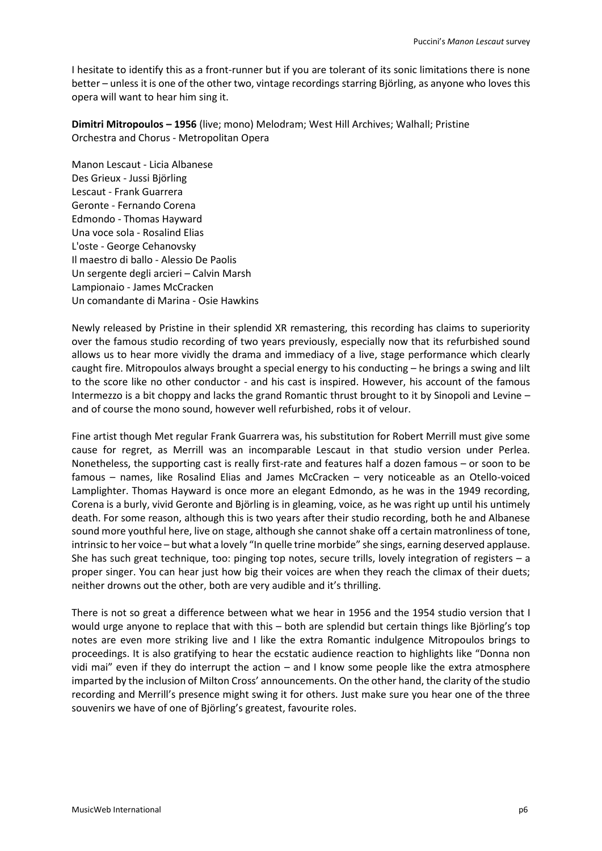I hesitate to identify this as a front-runner but if you are tolerant of its sonic limitations there is none better – unless it is one of the other two, vintage recordings starring Björling, as anyone who loves this opera will want to hear him sing it.

**Dimitri Mitropoulos – 1956** (live; mono) Melodram; West Hill Archives; Walhall; Pristine Orchestra and Chorus - Metropolitan Opera

Manon Lescaut - Licia Albanese Des Grieux - Jussi Björling Lescaut - Frank Guarrera Geronte - Fernando Corena Edmondo - Thomas Hayward Una voce sola - Rosalind Elias L'oste - George Cehanovsky Il maestro di ballo - Alessio De Paolis Un sergente degli arcieri – Calvin Marsh Lampionaio - James McCracken Un comandante di Marina - Osie Hawkins

Newly released by Pristine in their splendid XR remastering, this recording has claims to superiority over the famous studio recording of two years previously, especially now that its refurbished sound allows us to hear more vividly the drama and immediacy of a live, stage performance which clearly caught fire. Mitropoulos always brought a special energy to his conducting – he brings a swing and lilt to the score like no other conductor - and his cast is inspired. However, his account of the famous Intermezzo is a bit choppy and lacks the grand Romantic thrust brought to it by Sinopoli and Levine – and of course the mono sound, however well refurbished, robs it of velour.

Fine artist though Met regular Frank Guarrera was, his substitution for Robert Merrill must give some cause for regret, as Merrill was an incomparable Lescaut in that studio version under Perlea. Nonetheless, the supporting cast is really first-rate and features half a dozen famous – or soon to be famous – names, like Rosalind Elias and James McCracken – very noticeable as an Otello-voiced Lamplighter. Thomas Hayward is once more an elegant Edmondo, as he was in the 1949 recording, Corena is a burly, vivid Geronte and Björling is in gleaming, voice, as he was right up until his untimely death. For some reason, although this is two years after their studio recording, both he and Albanese sound more youthful here, live on stage, although she cannot shake off a certain matronliness of tone, intrinsic to her voice – but what a lovely "In quelle trine morbide" she sings, earning deserved applause. She has such great technique, too: pinging top notes, secure trills, lovely integration of registers – a proper singer. You can hear just how big their voices are when they reach the climax of their duets; neither drowns out the other, both are very audible and it's thrilling.

There is not so great a difference between what we hear in 1956 and the 1954 studio version that I would urge anyone to replace that with this – both are splendid but certain things like Björling's top notes are even more striking live and I like the extra Romantic indulgence Mitropoulos brings to proceedings. It is also gratifying to hear the ecstatic audience reaction to highlights like "Donna non vidi mai" even if they do interrupt the action – and I know some people like the extra atmosphere imparted by the inclusion of Milton Cross' announcements. On the other hand, the clarity of the studio recording and Merrill's presence might swing it for others. Just make sure you hear one of the three souvenirs we have of one of Björling's greatest, favourite roles.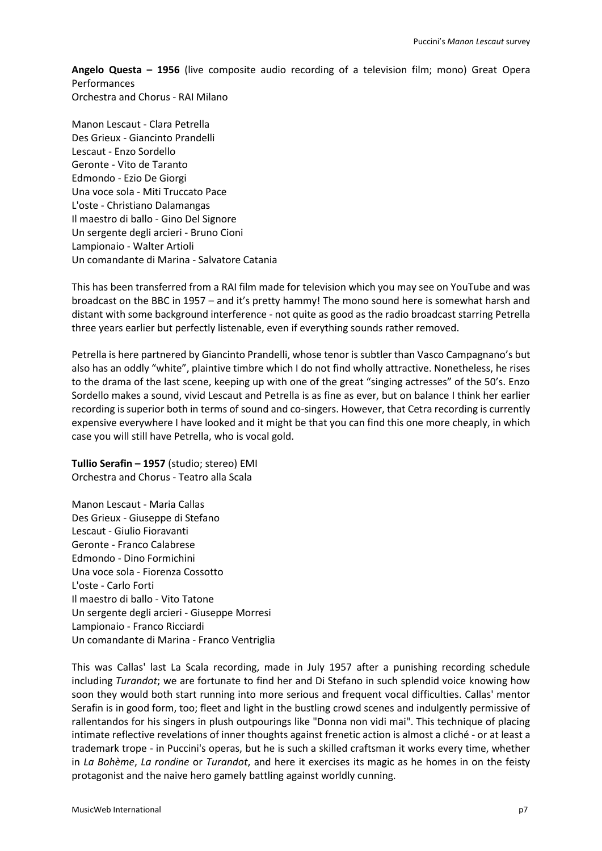**Angelo Questa – 1956** (live composite audio recording of a television film; mono) Great Opera Performances Orchestra and Chorus - RAI Milano

Manon Lescaut - Clara Petrella Des Grieux - Giancinto Prandelli Lescaut - Enzo Sordello Geronte - Vito de Taranto Edmondo - Ezio De Giorgi Una voce sola - Miti Truccato Pace L'oste - Christiano Dalamangas Il maestro di ballo - Gino Del Signore Un sergente degli arcieri - Bruno Cioni Lampionaio - Walter Artioli Un comandante di Marina - Salvatore Catania

This has been transferred from a RAI film made for television which you may see on YouTube and was broadcast on the BBC in 1957 – and it's pretty hammy! The mono sound here is somewhat harsh and distant with some background interference - not quite as good as the radio broadcast starring Petrella three years earlier but perfectly listenable, even if everything sounds rather removed.

Petrella is here partnered by Giancinto Prandelli, whose tenor is subtler than Vasco Campagnano's but also has an oddly "white", plaintive timbre which I do not find wholly attractive. Nonetheless, he rises to the drama of the last scene, keeping up with one of the great "singing actresses" of the 50's. Enzo Sordello makes a sound, vivid Lescaut and Petrella is as fine as ever, but on balance I think her earlier recording is superior both in terms of sound and co-singers. However, that Cetra recording is currently expensive everywhere I have looked and it might be that you can find this one more cheaply, in which case you will still have Petrella, who is vocal gold.

**Tullio Serafin – 1957** (studio; stereo) EMI Orchestra and Chorus - Teatro alla Scala

Manon Lescaut - Maria Callas Des Grieux - Giuseppe di Stefano Lescaut - Giulio Fioravanti Geronte - Franco Calabrese Edmondo - Dino Formichini Una voce sola - Fiorenza Cossotto L'oste - Carlo Forti Il maestro di ballo - Vito Tatone Un sergente degli arcieri - Giuseppe Morresi Lampionaio - Franco Ricciardi Un comandante di Marina - Franco Ventriglia

This was Callas' last La Scala recording, made in July 1957 after a punishing recording schedule including *Turandot*; we are fortunate to find her and Di Stefano in such splendid voice knowing how soon they would both start running into more serious and frequent vocal difficulties. Callas' mentor Serafin is in good form, too; fleet and light in the bustling crowd scenes and indulgently permissive of rallentandos for his singers in plush outpourings like "Donna non vidi mai". This technique of placing intimate reflective revelations of inner thoughts against frenetic action is almost a cliché - or at least a trademark trope - in Puccini's operas, but he is such a skilled craftsman it works every time, whether in *La Bohème*, *La rondine* or *Turandot*, and here it exercises its magic as he homes in on the feisty protagonist and the naive hero gamely battling against worldly cunning.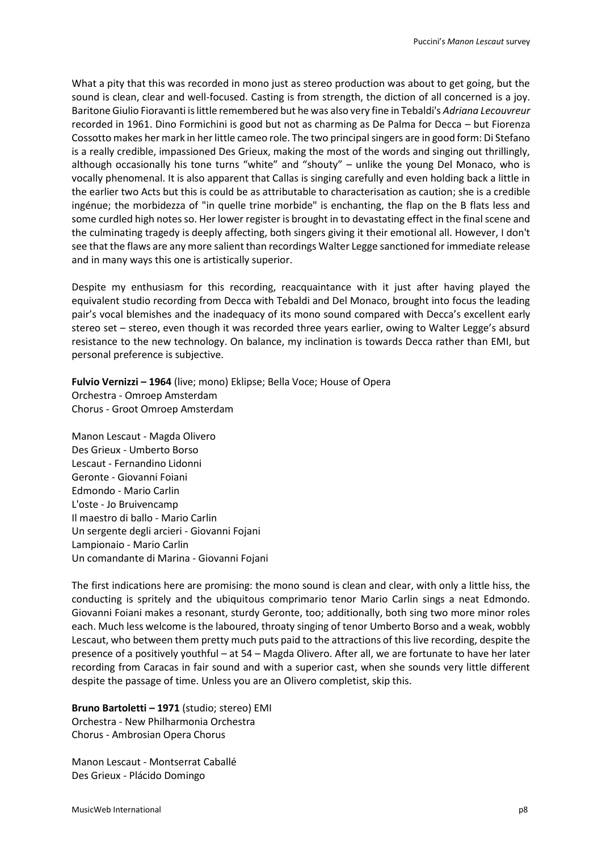What a pity that this was recorded in mono just as stereo production was about to get going, but the sound is clean, clear and well-focused. Casting is from strength, the diction of all concerned is a joy. Baritone Giulio Fioravanti is little remembered but he was also very fine in Tebaldi's *Adriana Lecouvreur* recorded in 1961. Dino Formichini is good but not as charming as De Palma for Decca – but Fiorenza Cossotto makes her mark in her little cameo role. The two principal singers are in good form: Di Stefano is a really credible, impassioned Des Grieux, making the most of the words and singing out thrillingly, although occasionally his tone turns "white" and "shouty" – unlike the young Del Monaco, who is vocally phenomenal. It is also apparent that Callas is singing carefully and even holding back a little in the earlier two Acts but this is could be as attributable to characterisation as caution; she is a credible ingénue; the morbidezza of "in quelle trine morbide" is enchanting, the flap on the B flats less and some curdled high notes so. Her lower register is brought in to devastating effect in the final scene and the culminating tragedy is deeply affecting, both singers giving it their emotional all. However, I don't see that the flaws are any more salient than recordings Walter Legge sanctioned for immediate release and in many ways this one is artistically superior.

Despite my enthusiasm for this recording, reacquaintance with it just after having played the equivalent studio recording from Decca with Tebaldi and Del Monaco, brought into focus the leading pair's vocal blemishes and the inadequacy of its mono sound compared with Decca's excellent early stereo set – stereo, even though it was recorded three years earlier, owing to Walter Legge's absurd resistance to the new technology. On balance, my inclination is towards Decca rather than EMI, but personal preference is subjective.

**Fulvio Vernizzi – 1964** (live; mono) Eklipse; Bella Voce; House of Opera Orchestra - Omroep Amsterdam Chorus - Groot Omroep Amsterdam

Manon Lescaut - Magda Olivero Des Grieux - Umberto Borso Lescaut - Fernandino Lidonni Geronte - Giovanni Foiani Edmondo - Mario Carlin L'oste - Jo Bruivencamp Il maestro di ballo - Mario Carlin Un sergente degli arcieri - Giovanni Fojani Lampionaio - Mario Carlin Un comandante di Marina - Giovanni Fojani

The first indications here are promising: the mono sound is clean and clear, with only a little hiss, the conducting is spritely and the ubiquitous comprimario tenor Mario Carlin sings a neat Edmondo. Giovanni Foiani makes a resonant, sturdy Geronte, too; additionally, both sing two more minor roles each. Much less welcome is the laboured, throaty singing of tenor Umberto Borso and a weak, wobbly Lescaut, who between them pretty much puts paid to the attractions of this live recording, despite the presence of a positively youthful – at 54 – Magda Olivero. After all, we are fortunate to have her later recording from Caracas in fair sound and with a superior cast, when she sounds very little different despite the passage of time. Unless you are an Olivero completist, skip this.

**Bruno Bartoletti – 1971** (studio; stereo) EMI Orchestra - New Philharmonia Orchestra Chorus - Ambrosian Opera Chorus

Manon Lescaut - Montserrat Caballé Des Grieux - Plácido Domingo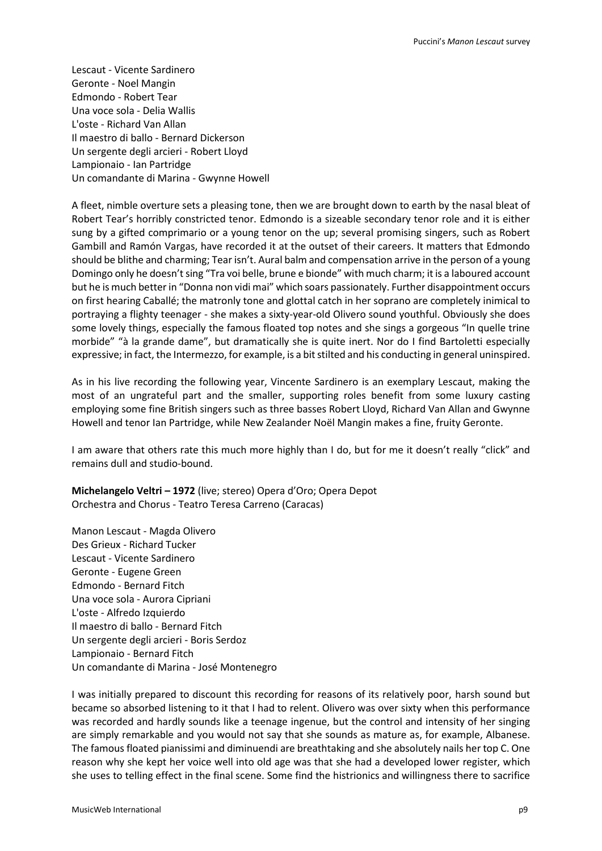Lescaut - Vicente Sardinero Geronte - Noel Mangin Edmondo - Robert Tear Una voce sola - Delia Wallis L'oste - Richard Van Allan Il maestro di ballo - Bernard Dickerson Un sergente degli arcieri - Robert Lloyd Lampionaio - Ian Partridge Un comandante di Marina - Gwynne Howell

A fleet, nimble overture sets a pleasing tone, then we are brought down to earth by the nasal bleat of Robert Tear's horribly constricted tenor. Edmondo is a sizeable secondary tenor role and it is either sung by a gifted comprimario or a young tenor on the up; several promising singers, such as Robert Gambill and Ramón Vargas, have recorded it at the outset of their careers. It matters that Edmondo should be blithe and charming; Tear isn't. Aural balm and compensation arrive in the person of a young Domingo only he doesn't sing "Tra voi belle, brune e bionde" with much charm; it is a laboured account but he is much better in "Donna non vidi mai" which soars passionately. Further disappointment occurs on first hearing Caballé; the matronly tone and glottal catch in her soprano are completely inimical to portraying a flighty teenager - she makes a sixty-year-old Olivero sound youthful. Obviously she does some lovely things, especially the famous floated top notes and she sings a gorgeous "In quelle trine morbide" "à la grande dame", but dramatically she is quite inert. Nor do I find Bartoletti especially expressive; in fact, the Intermezzo, for example, is a bit stilted and his conducting in general uninspired.

As in his live recording the following year, Vincente Sardinero is an exemplary Lescaut, making the most of an ungrateful part and the smaller, supporting roles benefit from some luxury casting employing some fine British singers such as three basses Robert Lloyd, Richard Van Allan and Gwynne Howell and tenor Ian Partridge, while New Zealander Noël Mangin makes a fine, fruity Geronte.

I am aware that others rate this much more highly than I do, but for me it doesn't really "click" and remains dull and studio-bound.

**Michelangelo Veltri – 1972** (live; stereo) Opera d'Oro; Opera Depot Orchestra and Chorus - Teatro Teresa Carreno (Caracas)

Manon Lescaut - Magda Olivero Des Grieux - Richard Tucker Lescaut - Vicente Sardinero Geronte - Eugene Green Edmondo - Bernard Fitch Una voce sola - Aurora Cipriani L'oste - Alfredo Izquierdo Il maestro di ballo - Bernard Fitch Un sergente degli arcieri - Boris Serdoz Lampionaio - Bernard Fitch Un comandante di Marina - José Montenegro

I was initially prepared to discount this recording for reasons of its relatively poor, harsh sound but became so absorbed listening to it that I had to relent. Olivero was over sixty when this performance was recorded and hardly sounds like a teenage ingenue, but the control and intensity of her singing are simply remarkable and you would not say that she sounds as mature as, for example, Albanese. The famous floated pianissimi and diminuendi are breathtaking and she absolutely nails her top C. One reason why she kept her voice well into old age was that she had a developed lower register, which she uses to telling effect in the final scene. Some find the histrionics and willingness there to sacrifice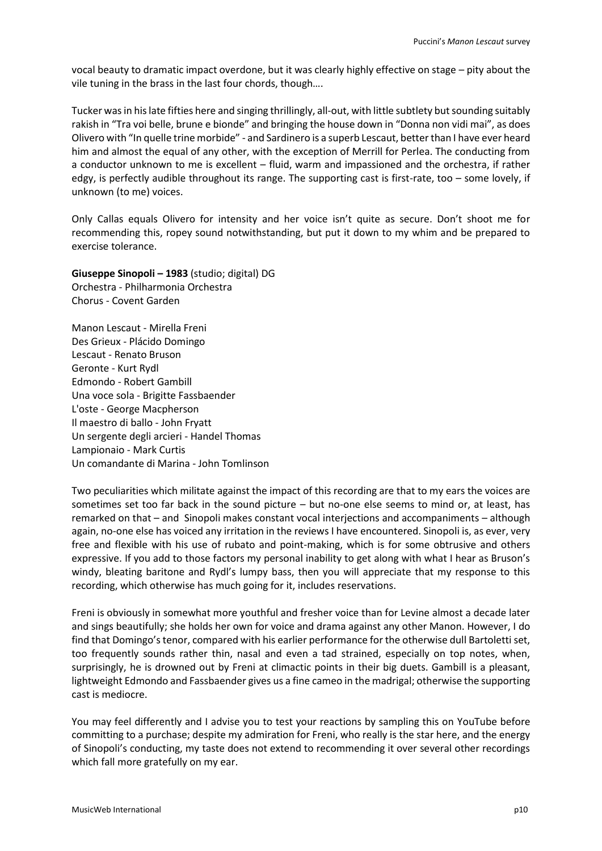vocal beauty to dramatic impact overdone, but it was clearly highly effective on stage – pity about the vile tuning in the brass in the last four chords, though….

Tucker was in his late fifties here and singing thrillingly, all-out, with little subtlety but sounding suitably rakish in "Tra voi belle, brune e bionde" and bringing the house down in "Donna non vidi mai", as does Olivero with "In quelle trine morbide" - and Sardinero is a superb Lescaut, better than I have ever heard him and almost the equal of any other, with the exception of Merrill for Perlea. The conducting from a conductor unknown to me is excellent – fluid, warm and impassioned and the orchestra, if rather edgy, is perfectly audible throughout its range. The supporting cast is first-rate, too – some lovely, if unknown (to me) voices.

Only Callas equals Olivero for intensity and her voice isn't quite as secure. Don't shoot me for recommending this, ropey sound notwithstanding, but put it down to my whim and be prepared to exercise tolerance.

**Giuseppe Sinopoli – 1983** (studio; digital) DG Orchestra - Philharmonia Orchestra Chorus - Covent Garden

Manon Lescaut - Mirella Freni Des Grieux - Plácido Domingo Lescaut - Renato Bruson Geronte - Kurt Rydl Edmondo - Robert Gambill Una voce sola - Brigitte Fassbaender L'oste - George Macpherson Il maestro di ballo - John Fryatt Un sergente degli arcieri - Handel Thomas Lampionaio - Mark Curtis Un comandante di Marina - John Tomlinson

Two peculiarities which militate against the impact of this recording are that to my ears the voices are sometimes set too far back in the sound picture – but no-one else seems to mind or, at least, has remarked on that – and Sinopoli makes constant vocal interjections and accompaniments – although again, no-one else has voiced any irritation in the reviews I have encountered. Sinopoli is, as ever, very free and flexible with his use of rubato and point-making, which is for some obtrusive and others expressive. If you add to those factors my personal inability to get along with what I hear as Bruson's windy, bleating baritone and Rydl's lumpy bass, then you will appreciate that my response to this recording, which otherwise has much going for it, includes reservations.

Freni is obviously in somewhat more youthful and fresher voice than for Levine almost a decade later and sings beautifully; she holds her own for voice and drama against any other Manon. However, I do find that Domingo's tenor, compared with his earlier performance for the otherwise dull Bartoletti set, too frequently sounds rather thin, nasal and even a tad strained, especially on top notes, when, surprisingly, he is drowned out by Freni at climactic points in their big duets. Gambill is a pleasant, lightweight Edmondo and Fassbaender gives us a fine cameo in the madrigal; otherwise the supporting cast is mediocre.

You may feel differently and I advise you to test your reactions by sampling this on YouTube before committing to a purchase; despite my admiration for Freni, who really is the star here, and the energy of Sinopoli's conducting, my taste does not extend to recommending it over several other recordings which fall more gratefully on my ear.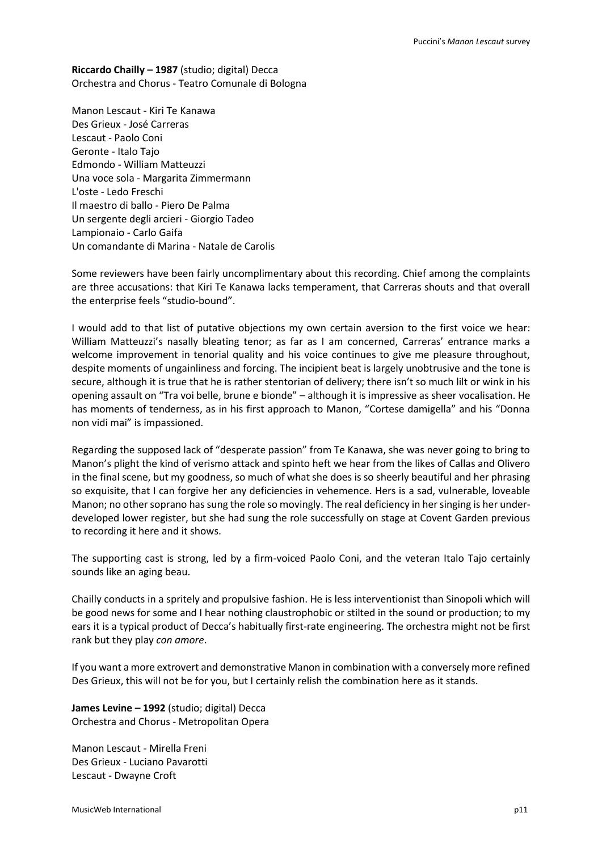**Riccardo Chailly – 1987** (studio; digital) Decca Orchestra and Chorus - Teatro Comunale di Bologna

Manon Lescaut - Kiri Te Kanawa Des Grieux - José Carreras Lescaut - Paolo Coni Geronte - Italo Tajo Edmondo - William Matteuzzi Una voce sola - Margarita Zimmermann L'oste - Ledo Freschi Il maestro di ballo - Piero De Palma Un sergente degli arcieri - Giorgio Tadeo Lampionaio - Carlo Gaifa Un comandante di Marina - Natale de Carolis

Some reviewers have been fairly uncomplimentary about this recording. Chief among the complaints are three accusations: that Kiri Te Kanawa lacks temperament, that Carreras shouts and that overall the enterprise feels "studio-bound".

I would add to that list of putative objections my own certain aversion to the first voice we hear: William Matteuzzi's nasally bleating tenor; as far as I am concerned, Carreras' entrance marks a welcome improvement in tenorial quality and his voice continues to give me pleasure throughout, despite moments of ungainliness and forcing. The incipient beat is largely unobtrusive and the tone is secure, although it is true that he is rather stentorian of delivery; there isn't so much lilt or wink in his opening assault on "Tra voi belle, brune e bionde" – although it is impressive as sheer vocalisation. He has moments of tenderness, as in his first approach to Manon, "Cortese damigella" and his "Donna non vidi mai" is impassioned.

Regarding the supposed lack of "desperate passion" from Te Kanawa, she was never going to bring to Manon's plight the kind of verismo attack and spinto heft we hear from the likes of Callas and Olivero in the final scene, but my goodness, so much of what she does is so sheerly beautiful and her phrasing so exquisite, that I can forgive her any deficiencies in vehemence. Hers is a sad, vulnerable, loveable Manon; no other soprano has sung the role so movingly. The real deficiency in her singing is her underdeveloped lower register, but she had sung the role successfully on stage at Covent Garden previous to recording it here and it shows.

The supporting cast is strong, led by a firm-voiced Paolo Coni, and the veteran Italo Tajo certainly sounds like an aging beau.

Chailly conducts in a spritely and propulsive fashion. He is less interventionist than Sinopoli which will be good news for some and I hear nothing claustrophobic or stilted in the sound or production; to my ears it is a typical product of Decca's habitually first-rate engineering. The orchestra might not be first rank but they play *con amore*.

If you want a more extrovert and demonstrative Manon in combination with a conversely more refined Des Grieux, this will not be for you, but I certainly relish the combination here as it stands.

**James Levine – 1992** (studio; digital) Decca Orchestra and Chorus - Metropolitan Opera

Manon Lescaut - Mirella Freni Des Grieux - Luciano Pavarotti Lescaut - Dwayne Croft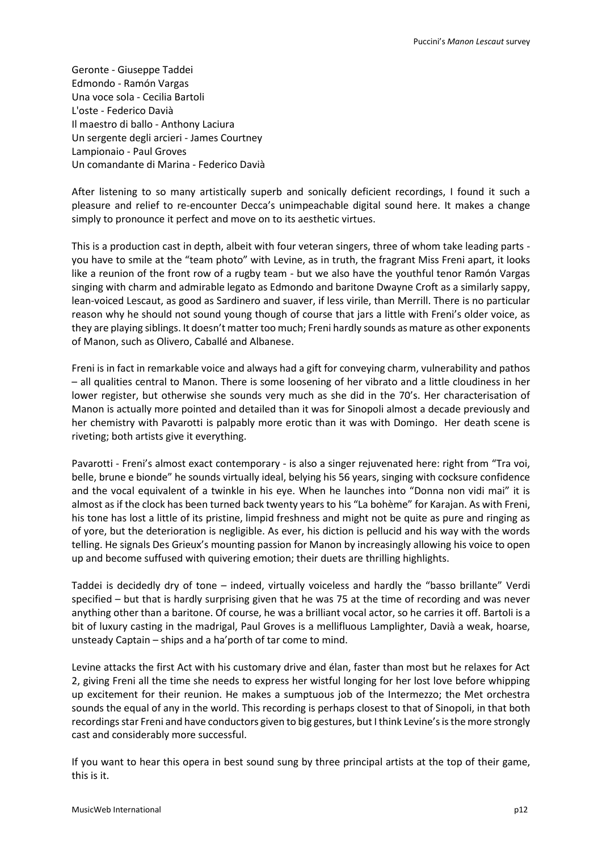Geronte - Giuseppe Taddei Edmondo - Ramón Vargas Una voce sola - Cecilia Bartoli L'oste - Federico Davià Il maestro di ballo - Anthony Laciura Un sergente degli arcieri - James Courtney Lampionaio - Paul Groves Un comandante di Marina - Federico Davià

After listening to so many artistically superb and sonically deficient recordings, I found it such a pleasure and relief to re-encounter Decca's unimpeachable digital sound here. It makes a change simply to pronounce it perfect and move on to its aesthetic virtues.

This is a production cast in depth, albeit with four veteran singers, three of whom take leading parts you have to smile at the "team photo" with Levine, as in truth, the fragrant Miss Freni apart, it looks like a reunion of the front row of a rugby team - but we also have the youthful tenor Ramón Vargas singing with charm and admirable legato as Edmondo and baritone Dwayne Croft as a similarly sappy, lean-voiced Lescaut, as good as Sardinero and suaver, if less virile, than Merrill. There is no particular reason why he should not sound young though of course that jars a little with Freni's older voice, as they are playing siblings. It doesn't matter too much; Freni hardly sounds as mature as other exponents of Manon, such as Olivero, Caballé and Albanese.

Freni is in fact in remarkable voice and always had a gift for conveying charm, vulnerability and pathos – all qualities central to Manon. There is some loosening of her vibrato and a little cloudiness in her lower register, but otherwise she sounds very much as she did in the 70's. Her characterisation of Manon is actually more pointed and detailed than it was for Sinopoli almost a decade previously and her chemistry with Pavarotti is palpably more erotic than it was with Domingo. Her death scene is riveting; both artists give it everything.

Pavarotti - Freni's almost exact contemporary - is also a singer rejuvenated here: right from "Tra voi, belle, brune e bionde" he sounds virtually ideal, belying his 56 years, singing with cocksure confidence and the vocal equivalent of a twinkle in his eye. When he launches into "Donna non vidi mai" it is almost as if the clock has been turned back twenty years to his "La bohème" for Karajan. As with Freni, his tone has lost a little of its pristine, limpid freshness and might not be quite as pure and ringing as of yore, but the deterioration is negligible. As ever, his diction is pellucid and his way with the words telling. He signals Des Grieux's mounting passion for Manon by increasingly allowing his voice to open up and become suffused with quivering emotion; their duets are thrilling highlights.

Taddei is decidedly dry of tone – indeed, virtually voiceless and hardly the "basso brillante" Verdi specified – but that is hardly surprising given that he was 75 at the time of recording and was never anything other than a baritone. Of course, he was a brilliant vocal actor, so he carries it off. Bartoli is a bit of luxury casting in the madrigal, Paul Groves is a mellifluous Lamplighter, Davià a weak, hoarse, unsteady Captain – ships and a ha'porth of tar come to mind.

Levine attacks the first Act with his customary drive and élan, faster than most but he relaxes for Act 2, giving Freni all the time she needs to express her wistful longing for her lost love before whipping up excitement for their reunion. He makes a sumptuous job of the Intermezzo; the Met orchestra sounds the equal of any in the world. This recording is perhaps closest to that of Sinopoli, in that both recordings star Freni and have conductors given to big gestures, but I think Levine's is the more strongly cast and considerably more successful.

If you want to hear this opera in best sound sung by three principal artists at the top of their game, this is it.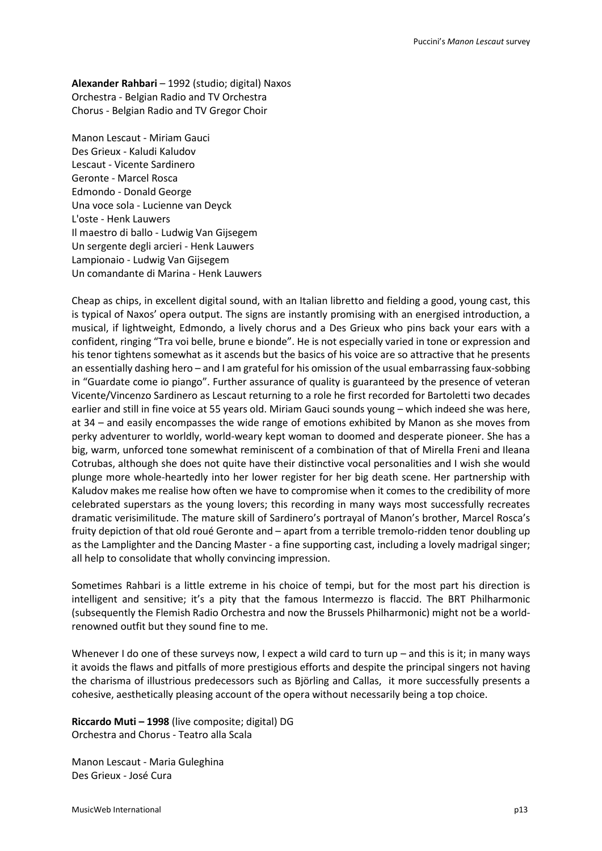**Alexander Rahbari** – 1992 (studio; digital) Naxos Orchestra - Belgian Radio and TV Orchestra Chorus - Belgian Radio and TV Gregor Choir

Manon Lescaut - Miriam Gauci Des Grieux - Kaludi Kaludov Lescaut - Vicente Sardinero Geronte - Marcel Rosca Edmondo - Donald George Una voce sola - Lucienne van Deyck L'oste - Henk Lauwers Il maestro di ballo - Ludwig Van Gijsegem Un sergente degli arcieri - Henk Lauwers Lampionaio - Ludwig Van Gijsegem Un comandante di Marina - Henk Lauwers

Cheap as chips, in excellent digital sound, with an Italian libretto and fielding a good, young cast, this is typical of Naxos' opera output. The signs are instantly promising with an energised introduction, a musical, if lightweight, Edmondo, a lively chorus and a Des Grieux who pins back your ears with a confident, ringing "Tra voi belle, brune e bionde". He is not especially varied in tone or expression and his tenor tightens somewhat as it ascends but the basics of his voice are so attractive that he presents an essentially dashing hero – and I am grateful for his omission of the usual embarrassing faux-sobbing in "Guardate come io piango". Further assurance of quality is guaranteed by the presence of veteran Vicente/Vincenzo Sardinero as Lescaut returning to a role he first recorded for Bartoletti two decades earlier and still in fine voice at 55 years old. Miriam Gauci sounds young – which indeed she was here, at 34 – and easily encompasses the wide range of emotions exhibited by Manon as she moves from perky adventurer to worldly, world-weary kept woman to doomed and desperate pioneer. She has a big, warm, unforced tone somewhat reminiscent of a combination of that of Mirella Freni and Ileana Cotrubas, although she does not quite have their distinctive vocal personalities and I wish she would plunge more whole-heartedly into her lower register for her big death scene. Her partnership with Kaludov makes me realise how often we have to compromise when it comes to the credibility of more celebrated superstars as the young lovers; this recording in many ways most successfully recreates dramatic verisimilitude. The mature skill of Sardinero's portrayal of Manon's brother, Marcel Rosca's fruity depiction of that old roué Geronte and – apart from a terrible tremolo-ridden tenor doubling up as the Lamplighter and the Dancing Master - a fine supporting cast, including a lovely madrigal singer; all help to consolidate that wholly convincing impression.

Sometimes Rahbari is a little extreme in his choice of tempi, but for the most part his direction is intelligent and sensitive; it's a pity that the famous Intermezzo is flaccid. The BRT Philharmonic (subsequently the Flemish Radio Orchestra and now the Brussels Philharmonic) might not be a worldrenowned outfit but they sound fine to me.

Whenever I do one of these surveys now, I expect a wild card to turn up – and this is it; in many ways it avoids the flaws and pitfalls of more prestigious efforts and despite the principal singers not having the charisma of illustrious predecessors such as Björling and Callas, it more successfully presents a cohesive, aesthetically pleasing account of the opera without necessarily being a top choice.

**Riccardo Muti – 1998** (live composite; digital) DG Orchestra and Chorus - Teatro alla Scala

Manon Lescaut - Maria Guleghina Des Grieux - José Cura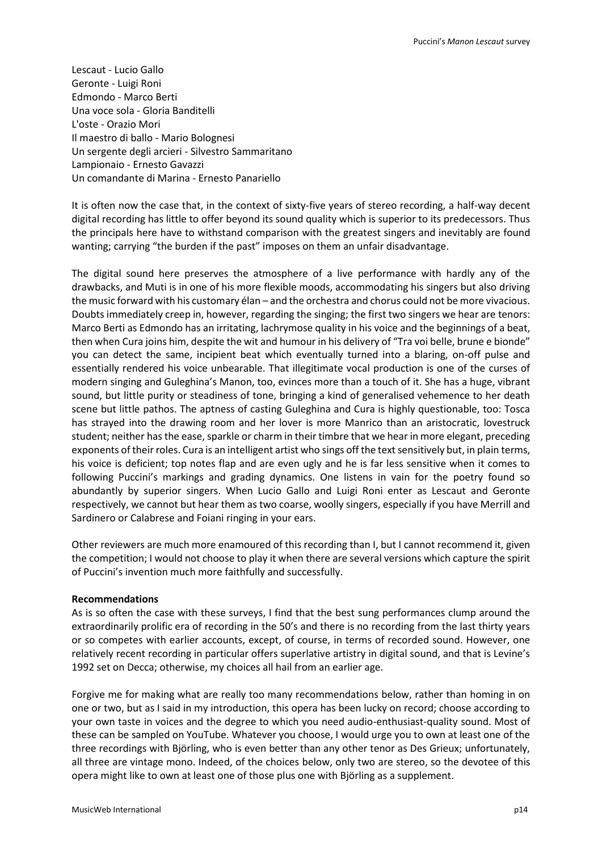Lescaut - Lucio Gallo Geronte - Luigi Roni Edmondo - Marco Berti Una voce sola - Gloria Banditelli L'oste - Orazio Mori Il maestro di ballo - Mario Bolognesi Un sergente degli arcieri - Silvestro Sammaritano Lampionaio - Ernesto Gavazzi Un comandante di Marina - Ernesto Panariello

It is often now the case that, in the context of sixty-five years of stereo recording, a half-way decent digital recording has little to offer beyond its sound quality which is superior to its predecessors. Thus the principals here have to withstand comparison with the greatest singers and inevitably are found wanting; carrying "the burden if the past" imposes on them an unfair disadvantage.

The digital sound here preserves the atmosphere of a live performance with hardly any of the drawbacks, and Muti is in one of his more flexible moods, accommodating his singers but also driving the music forward with his customary élan – and the orchestra and chorus could not be more vivacious. Doubts immediately creep in, however, regarding the singing; the first two singers we hear are tenors: Marco Berti as Edmondo has an irritating, lachrymose quality in his voice and the beginnings of a beat, then when Cura joins him, despite the wit and humour in his delivery of "Tra voi belle, brune e bionde" you can detect the same, incipient beat which eventually turned into a blaring, on-off pulse and essentially rendered his voice unbearable. That illegitimate vocal production is one of the curses of modern singing and Guleghina's Manon, too, evinces more than a touch of it. She has a huge, vibrant sound, but little purity or steadiness of tone, bringing a kind of generalised vehemence to her death scene but little pathos. The aptness of casting Guleghina and Cura is highly questionable, too: Tosca has strayed into the drawing room and her lover is more Manrico than an aristocratic, lovestruck student; neither has the ease, sparkle or charm in their timbre that we hear in more elegant, preceding exponents of their roles. Cura is an intelligent artist who sings off the text sensitively but, in plain terms, his voice is deficient; top notes flap and are even ugly and he is far less sensitive when it comes to following Puccini's markings and grading dynamics. One listens in vain for the poetry found so abundantly by superior singers. When Lucio Gallo and Luigi Roni enter as Lescaut and Geronte respectively, we cannot but hear them as two coarse, woolly singers, especially if you have Merrill and Sardinero or Calabrese and Foiani ringing in your ears.

Other reviewers are much more enamoured of this recording than I, but I cannot recommend it, given the competition; I would not choose to play it when there are several versions which capture the spirit of Puccini's invention much more faithfully and successfully.

## **Recommendations**

As is so often the case with these surveys, I find that the best sung performances clump around the extraordinarily prolific era of recording in the 50's and there is no recording from the last thirty years or so competes with earlier accounts, except, of course, in terms of recorded sound. However, one relatively recent recording in particular offers superlative artistry in digital sound, and that is Levine's 1992 set on Decca; otherwise, my choices all hail from an earlier age.

Forgive me for making what are really too many recommendations below, rather than homing in on one or two, but as I said in my introduction, this opera has been lucky on record; choose according to your own taste in voices and the degree to which you need audio-enthusiast-quality sound. Most of these can be sampled on YouTube. Whatever you choose, I would urge you to own at least one of the three recordings with Björling, who is even better than any other tenor as Des Grieux; unfortunately, all three are vintage mono. Indeed, of the choices below, only two are stereo, so the devotee of this opera might like to own at least one of those plus one with Björling as a supplement.